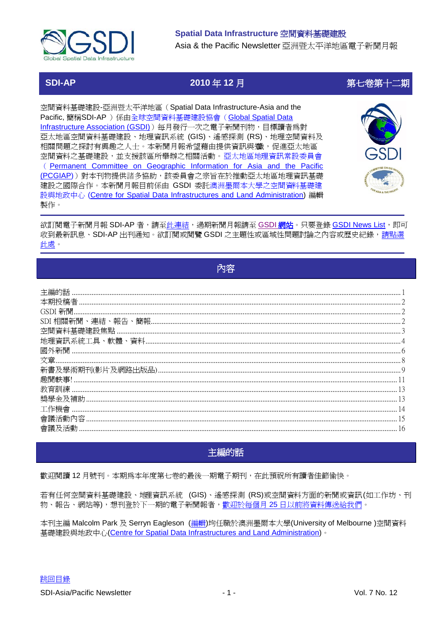

## Spatial Data Infrastructure 空間資料基礎建設

Asia & the Pacific Newsletter 亞洲暨太平洋地區電子新聞月報

# **SDI-AP**

# 2010年12月

空間資料基礎建設-亞洲暨太平洋地區 (Spatial Data Infrastructure-Asia and the Pacific, 簡稱SDI-AP ) 係由全球空間資料基礎建設協會 (Global Spatial Data Infrastructure Association (GSDI) 每月發行一次之電子新聞刊物,目標讀者爲對 亞太地區空間資料基礎建設、地理資訊系統 (GIS)、遙感探測 (RS)、地理空間資料及 相關問題之探討有興趣之人士。本新聞月報希望藉由提供資訊與織,促進亞太地區 空間資料之基礎建設,並支援該區所舉辦之相關活動。亞太地區地理資訊常設委員會 (Permanent Committee on Geographic Information for Asia and the Pacific (PCGIAP))對本刊物提供諸多協助,該委員會之宗旨在於推動亞太地區地理資訊基礎 建設之國際合作。本新聞月報目前係由 GSDI 委託澳洲墨爾本大學之空間資料基礎建 設與地政中心 (Centre for Spatial Data Infrastructures and Land Administration) 編輯 製作。



第七卷第十二期

欲訂閱電子新聞月報 SDI-AP 者,請至此連結,過期新聞月報請至 GSDI <mark>網站</mark>。只要登錄 GSDI News List,即可 收到最新訊息、SDI-AP出刊通知。欲訂閱或閱覽 GSDI 之主題性或區域性問題討論之內容或歷史紀錄,請點選 此處。

<span id="page-0-0"></span>

| 空間 |  |
|----|--|
|    |  |
|    |  |
|    |  |
|    |  |
|    |  |
|    |  |
|    |  |
|    |  |
|    |  |
|    |  |
|    |  |

# 主編的話

<span id="page-0-1"></span>歡迎閱讀 12 月號刊。本期爲本年度第七卷的最後一期電子期刊,在此預祝所有讀者佳節愉快。

若有任何空間資料基礎建設、地理資訊系統 (GIS)、遙感探測 (RS)或空間資料方面的新聞或資訊(如工作坊、刊 物、報告、網站等),想刊登於下一期的電子新聞報者,歡迎於每個月25日以前將資料傳送給我們。

本刊主編 Malcolm Park 及 Serryn Eagleson (編輯)均任職於澳洲墨爾本大學(University of Melbourne)空間資料 基礎建設與地政中心(Centre for Spatial Data Infrastructures and Land Administration)。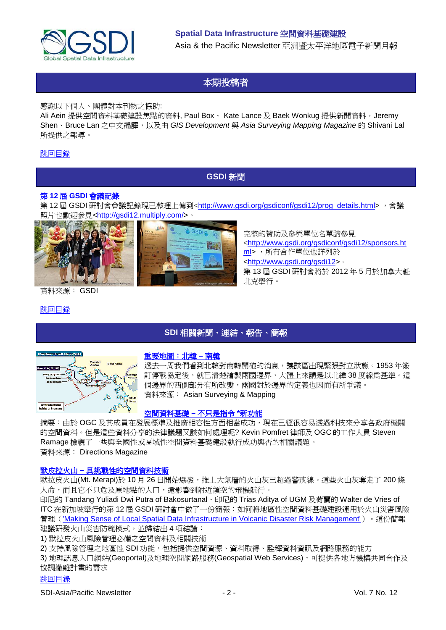

# 本期投稿者

<span id="page-1-0"></span>感謝以下個人、團體對本刊物之協助:

Ali Aein 提供空間資料基礎建設焦點的資料, Paul Box、 Kate Lance 及 Baek Wonkug 提供新聞資料,Jeremy Shen、Bruce Lan 之中文編譯,以及由 *GIS Development* 與 *Asia Surveying Mapping Magazine* 的 Shivani Lal 所提供之報導。

## <span id="page-1-1"></span>[跳回目錄](#page-0-0)

## **GSDI** 新聞

## 第 **12** 屆 **GSDI** 會議記錄

第12屆 GSDI 研討會會議記錄現已整理上傳到[<http://www.gsdi.org/gsdiconf/gsdi12/prog\\_details.html>](http://www.gsdi.org/gsdiconf/gsdi12/prog_details.html) , 會議 照片也歡迎參見[<http://gsdi12.multiply.com/>](http://gsdi12.multiply.com/)。



資料來源: GSDI

<span id="page-1-2"></span>[跳回目錄](#page-0-0)

## **SDI** 相關新聞、連結、報告、簡報



## [重要地圖:北韓](http://asmmag.com/features/value-of-a-map-north-korea-south-korea) **–** 南韓

過去一周我們看到北韓對南韓開砲的消息,讓該區出現緊張對立狀態。1953 年簽 訂停戰協定後,就已清楚繪製兩國邊界,大體上來講是以北緯 38 度線為基準。這 個邊界的西側部分有所改變,兩國對於邊界的定義也因而有所爭議。 資料來源: Asian Surveying & Mapping

完整的贊助及參與單位名單請參見

[ml>](http://www.gsdi.org/gsdiconf/gsdi12/sponsors.html) ,所有合作單位也詳列於 [<http://www.gsdi.org/gsdi12>](http://www.gsdi.org/gsdi12)。

北克舉行。

[<http://www.gsdi.org/gsdiconf/gsdi12/sponsors.ht](http://www.gsdi.org/gsdiconf/gsdi12/sponsors.html)

第 13 屆 GSDI 研討會將於 2012 年 5 月於加拿大魁

## [空間資料基礎](http://www.directionsmag.com/articles/spatial-data-infrastructures-more-than-directives/142537) **–** 不只是指令 **\***新功能

摘要:由於 OGC 及其成員在發展標準及推廣相容性方面相當成功,現在已經很容易透過科技來分享各政府機關 的空間資料。但是這些資料分享的法律議題又該如何處理呢? Kevin Pomfret 律師及 OGC 的工作人員 Steven Ramage 檢視了一些與全國性或區域性空間資料基礎建設執行成功與否的相關議題。 資料來源: Directions Magazine

## 默皮拉火山 **–** [具挑戰性的空間資料技術](http://www.asmmag.com/features/mt-merapi-challenging-spatial-information-technology)

默拉皮火山(Mt. Merapi)於 10 月 26 日開始爆發,推上大氣層的火山灰已超過警戒線。這些火山灰奪走了 200 條 人命,而且它不只危及原地點的人口,還影響到附近領空的飛機航行。

印尼的 Tandang Yuliadi Dwi Putra of Bakosurtanal、印尼的 Trias Aditya of UGM 及荷蘭的 Walter de Vries of ITC 在新加坡舉行的第 12 屆 GSDI 研討會中做了一份簡報:如何將地區性空間資料基礎建設運用於火山災害風險 管理(['Making Sense of Local Spatial Data Infrastructure in Volcanic Disaster Risk Management'](http://www.google.com/url?sa=t&source=web&cd=2&ved=0CB0QFjAB&url=http%3A%2F%2Fwww.gsdi.org%2Fgsdiconf%2Fgsdi12%2Fslides%2F3.1a.pdf&ei=eiTlTPjsGsHDswaj_MXECw&usg=AFQjCNEm6SeEwG6TGQxLZ8s1yd_NGMDf_g&sig2=NPsbsEHbd2e8L0lVNa2i-g))。這份簡報 建議研發火山災害防範模式,並歸結出4項結論:

1) 默拉皮火山風險管理必備之空間資料及相關技術

2) 支持風險管理之地區性 SDI 功能,包括提供空間資源、資料取得、詮釋資料資訊及網路服務的能力

3) 地理訊息入口網站(Geoportal)及地理空間網路服務(Geospatial Web Services),可提供各地方機構共同合作及 協調撤離計畫的需求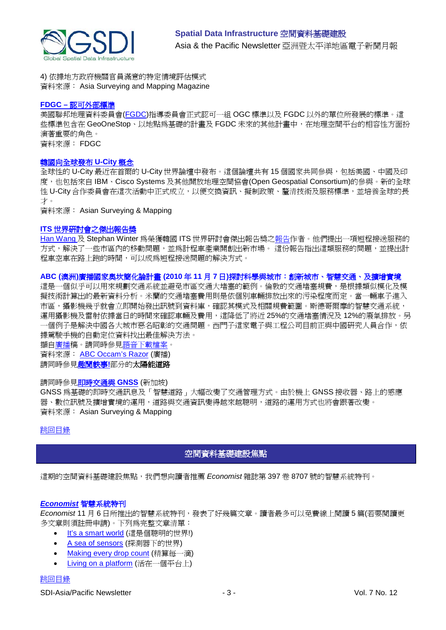

4) 依據地方政府機關官員滿意的特定情境評估模式 資料來源: Asia Surveying and Mapping Magazine

### **FDGC –** [認可外部標準](http://www.fgdc.gov/standards/fgdc-endorsed-external-standards/index_html)

美國聯邦地理資料委員會[\(FGDC\)](http://www.fgdc.gov/)指導委員會正式認可一組 OGC 標準以及 FGDC 以外的單位所發展的標準。這 些標準包含在 GeoOneStop、以地點為基礎的計畫及 FGDC 未來的其他計畫中,在地理空間平台的相容性方面扮 演著重要的角色。 資料來源: FDGC

[韓國向全球發布](http://asmmag.com/news/korea-s-u-city-concept-launches-globally) **U-City** 概念

全球性的 U-City 最近在首爾的 U-City 世界論壇中發布。這個論壇共有 15 個國家共同參與,包括美國、中國及印 度,也包括來自 IBM、Cisco Systems 及其他開放地理空間協會(Open Geospatial Consortium)的參與。新的全球 性 U-City 合作委員會在這次活動中正式成立,以便交換資訊、擬制政策、釐清技術及服務標準,並培養全球的長 才。

資料來源: Asian Surveying & Mapping

#### **ITS** [世界研討會之傑出報告獎](https://intranet.eng.unimelb.edu.au/e-bulletin/index)

[Han Wang](http://www.boommap.com/uploads/2/5/6/4/2564148/utilising_taxi_empty_cruise_time_to_solve_the_short_distance_trip_problem.pdf) 及 Stephan Winter 為榮獲韓國 ITS 世界研討會傑出報告獎[之報告作](http://www.geom.unimelb.edu.au/winter/pubs/wang10utilizing.pdf)者。他們提出一項短程接送服務的 方式,解決了一些市區內的移動問題,並為計程車產業開創出新市場。 這份報告指出這類服務的問題,並提出計 程車空車在路上跑的時間,可以成為短程接送問題的解決方式。

## **ABC (**澳洲**)**廣播國家奧坎簡化論計畫 **(2010** 年 **11** 月 **7** 日**)**探討科學與城市:創新城市、智慧交通、及擴增實境

這是一個似乎可以用來規劃交通系統並避免市區交通大堵塞的範例。倫敦的交通堵塞規費,是根據類似模化及模 擬技術計算出的最新資料分析。米蘭的交通堵塞費用則是依個別車輛排放出來的污染程度而定。當一輛車子進入 市區,攝影機幾乎就會立即開始發出訊號到資料庫,確認其模式及相關規費範圍。斯德哥爾摩的智慧交通系統, 運用攝影機及雷射依據當日的時間來確認車輛及費用,這降低了將近 25%的交通堵塞情況及 12%的廢氣排放。另 一個例子是解決中國各大城市惡名昭彰的交通問題。西門子這家電子與工程公司目前正與中國研究人員合作,依 據駕駛手機的自動定位資料找出最佳解決方法。

擷[自廣播稿](http://www.abc.net.au/rn/ockhamsrazor/stories/2010/3057355.htm#transcript)。請同時參[見語音下載檔案。](http://mpegmedia.abc.net.au/rn/podcast/2010/11/orr_20101107.mp3) 資料來源: [ABC Occam's Razor](http://www.abc.net.au/rn/ockhamsrazor/stories/2010/3057355.htm) (廣播)

請同時參見趣聞軼事**!**部分的太陽能道路

## 請同時參[見即時交通與](http://asmmag.com/news/real-time-traffic-and-gnss) **GNSS** (新加坡)

GNSS 為基礎的即時交通訊息及「智慧道路」大幅改變了交通管理方式。由於機上 GNSS 接收器、路上的感應 器、數位訊號及擴增實境的運用,道路與交通資訊變得越來越聰明,道路的運用方式也將會跟著改變。 資料來源: Asian Surveying & Mapping

## <span id="page-2-0"></span>[跳回目錄](#page-0-0)

## 空間資料基礎建設焦點

這期的空間資料基礎建設焦點,我們想向讀者推薦 *Economist* 雜誌第 397 卷 8707 號的智慧系統特刊。

## *Economist* [智慧系統特刊](http://www.economist.com/)

*Economist* 11 月 6 日所推出的智慧系統特刊,發表了好幾篇文章。讀者最多可以免費線上閱讀 5 篇(若要閱讀更 多文章則須註冊申請)。下列為完整文章清單:

- [It's a smart world](http://www.economist.com/node/17388368) (這是個聰明的世界!)
- [A sea of sensors](http://www.economist.com/node/17388356) (探測器下的世界)
- [Making every drop count](http://www.economist.com/node/17388318) (精算每一滴)
- [Living on a platform](http://www.economist.com/node/17388308) (活在一個平台上)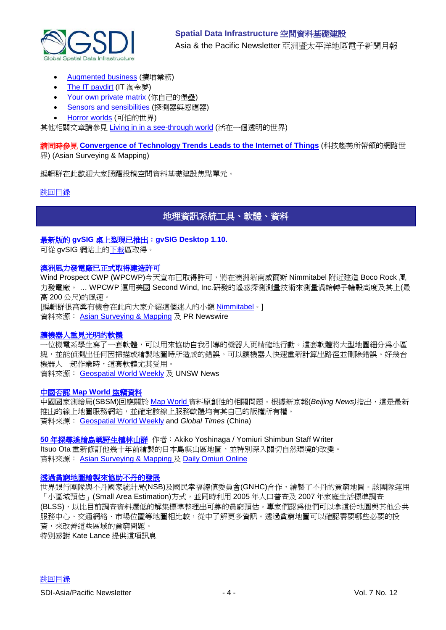

- [Augmented business](http://www.economist.com/node/17388392) (擴增業務)
- [The IT paydirt](http://www.economist.com/node/17388298) (IT 淘金夢)
- [Your own private matrix](http://www.economist.com/node/17388382) (你自己的堡壘)
- **[Sensors and sensibilities](http://www.economist.com/node/17388338) (探測器與感應器)**
- [Horror worlds](http://www.economist.com/node/17388328) (可怕的世界)

其他相關文章請參見 [Living in in a see-through world](http://www.economist.com/node/17416748) (活在一個透明的世界)

請同時參見 **[Convergence of Technology Trends Leads to the Internet of Things](http://asmmag.com/features/convergence-of-technology-trends-leads-to-the-internet-of-things)** (科技趨勢所帶領的網路世 界) (Asian Surveying & Mapping)

編輯群在此歡迎大家踴躍投稿空間資料基礎建設焦點單元。

## <span id="page-3-0"></span>[跳回目錄](#page-0-0)

## 地理資訊系統工具、軟體、資料

## 最新版的 **gvSIG** 桌上型現已推出:**gvSIG Desktop 1.10.**

可從 gvSIG 網站上[的下載區](http://www.gvsig.org/web/projects/gvsig-desktop/official/gvsig-1.10/downloads)取得。

### [澳洲風力發電廠已正式取得建造許可](http://www.prnewswire.com/news-releases/aided-by-market-leading-remote-sensing-technology-australian-boco-rock-wind-farm-receives-planning-permission-106953943.html)

Wind Prospect CWP (WPCWP)今天宣布已取得許可,將在澳洲新南威爾斯 Nimmitabel 附近建造 Boco Rock 風 力發電廠。 … WPCWP 運用美國 Second Wind, Inc.研發的遙感探測測量技術來測量渦輪轉子輪轂高度及其上(最 高 200 公尺)的風速。 [編輯群很高興有機會在此向大家介紹這個迷人的小鎮 [Nimmitabel](http://en.wikipedia.org/wiki/Nimmitabel,_New_South_Wales)。]

資料來源: [Asian Surveying & Mapping](http://asmmag.com/news/aided-by-remote-sensing-australia-wind-farm-receives-approval) 及 PR Newswire

## [讓機器人重見光明的軟體](http://www.unsw.edu.au/news/pad/articles/2010/oct/Eng_research_awards.html)

一位機電系學生寫了一套軟體,可以用來協助自我引導的機器人更精確地行動。這套軟體將大型地圖細分為小區 塊,並能偵測出任何因掃描或繪製地圖時所造成的錯誤。可以讓機器人快速重新計算出路徑並刪除錯誤。好幾台 機器人一起作業時,這套軟體尤其受用。

資料來源: [Geospatial World Weekly](http://www.geospatialworld.net/index.php?option=com_content&view=article&id=18821%3Asoftware-takes-blindfolds-off-from-robots&catid=61%3Aapplication-transportation-navigation&Itemid=1) 及 UNSW News

## 中國否認 **[Map World](http://china.globaltimes.cn/society/2010-10/585872.html)** 盜竊資料

中國國家測繪局(SBSM)回應關於 [Map World](http://tianditu.com/) 資料原創性的相關問題。根據新京報(*Beijing News)*指出,這是最新 推出的線上地圖服務網站,並確定該線上服務軟體均有其自己的版權所有權。 資料來源: [Geospatial World Weekly](http://www.geospatialworld.net/index.php?option=com_content&view=article&id=18828%3Achina-refutes-data-stealing-allegation-for-map-world&catid=49%3Aproduct-data&Itemid=1) and *Global Times* (China)

## **50** 年探[尋遙繪島嶼野生植林山群](http://www.yomiuri.co.jp/dy/national/T101128002593.htm) 作者:Akiko Yoshinaga / Yomiuri Shimbun Staff Writer

Itsuo Ota 重新修訂他幾十年前繪製的日本島嶼山區地圖,並特別深入關切自然環境的改變。 資料來源: [Asian Surveying & Mapping](http://asmmag.com/news/filling-in-yakushima-s-blanks-a-five-decade-mapping-quest) 及 [Daily Omiuri Online](http://www.yomiuri.co.jp/dy/index.htm)

#### [透過貧窮地圖繪製來協助不丹的發展](http://blogs.worldbank.org/endpovertyinsouthasia/how-can-poverty-mapping-support-development-bhutan)

世界銀行團隊與不丹國家統計局(NSB)及國民幸福總值委員會(GNHC)合作,繪製了不丹的貧窮地圖。該團隊運用 「小區域預估」(Small Area Estimation)方式,並同時利用 2005 年人口普查及 2007 年家庭生活標準調査 (BLSS),以比目前調查資料還低的解集標準整理出可靠的貧窮預估。專家們認為他們可以拿這份地圖與其他公共 服務中心、交通網絡、市場位置等地圖相比較,從中了解更多資訊。透過貧窮地圖可以確認需要哪些必要的投 資,來改善這些區域的貧窮問題。

特別感謝 Kate Lance 提供這項訊息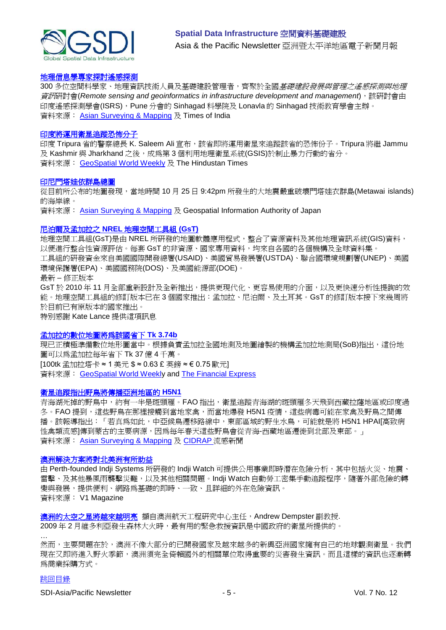

## [地理信息學專家探討遙感探測](http://timesofindia.indiatimes.com/city/pune/Geoinformatics-experts-to-discuss-remote-sensing/articleshow/7002476.cms#ixzz16bV9Iycx)

300 多位空間科學家、地理資訊技術人員及基礎建設管理者,齊聚於全國*基礎建設發展與管理之遙感探測與地理* 資訊研討會(Remote sensing and geoinformatics in infrastructure development and management), 該研討會由 印度遙感探測學會(ISRS), Pune 分會的 Sinhagad 科學院及 Lonavla 的 Sinhagad 技術教育學會主辦。 資料來源: [Asian Surveying & Mapping](http://asmmag.com/news/geoinfomatics-experts-gather-in-pune-to-discuss-remote-sensing) 及 Times of India

#### [印度將運用衛星追蹤恐怖分子](http://www.hindustantimes.com/News-Feed/tripura/Tripura-to-use-satellites-to-track-terrorists/Article1-626091.aspx)

印度 Tripura 省的警察總長 K. Saleem Ali 宣布,該省即將運用衛星來追蹤該省的恐怖份子。Tripura 將繼 Jammu 及 Kashmir 與 Jharkhand 之後,成為第3個利用地理衛星系統(GSIS)於制止暴力行動的省分。 資料來源: [GeoSpatial World Weekly](http://geospatialworld.net/index.php?option=com_content&view=article&id=18945%3Aindian-state-to-use-satellites-to-track-terrorists&catid=57%3Aapplication-military&Itemid=1&pagetype=newssearch) 及 The Hindustan Times

#### [印尼門塔娃依群島總圖](http://www.gsi.go.jp/kankyochiri/gm-disaster-1027ind_e.html)

從目前所公布的地圖發現,當地時間 10 月 25 日 9:42pm 所發生的大地震嚴重破壞門塔娃衣群島(Metawai islands) 的海岸線。

資料來源: [Asian Surveying & Mapping](http://asmmag.com/news/japan-global-map-of-the-mentawai-islands-indonesia) 及 Geospatial Information Authority of Japan

#### 尼泊爾及孟加拉之 **NREL** [地理空間工具組](http://www.nrel.gov/international/geospatial_toolkits.html) **(GsT)**

地理空間工具組(GsT)是由 NREL 所研發的地圖軟體應用程式,整合了資源資料及其他地理資訊系統(GIS)資料, 以便進行整合性資源評估。每套 GsT 的非資源、國家專用資料,均來自各國的各個機構及全球資料集。 工具組的研發資金來自美國國際開發總署(USAID)、美國貿易發展署(USTDA)、聯合國環境規劃署(UNEP)、美國 環境保護署(EPA)、美國國務院(DOS)、及美國能源部(DOE)。 最新 – 修正版本

GsT於 2010年11月全部重新設計及全新推出,提供更現代化、更容易使用的介面,以及更快速分析性提詢的效 能。地理空間工具組的修訂版本已在 3 個國家推出:孟加拉、尼泊爾、及土耳其。GsT 的修訂版本接下來幾周將 於目前已有原版本的國家推出。

特別感謝 Kate Lance 提供這項訊息

#### [孟加拉的數位地圖將為該國省下](http://www.thefinancialexpress-bd.com/more.php?news_id=117497&date=2010-11-13) **Tk 3.74b**

現已正積極準備數位地形圖當中。根據負責孟加拉全國地測及地圖繪製的機構孟加拉地測局(SoB)指出,這份地 圖可以為孟加拉每年省下 Tk 37 億 4 千萬。 [100tk 孟加拉塔卡 ≈ 1 美元 \$ ≈ 0.63 £ 英鎊 ≈ € 0.75 歐元] 資料來源: [GeoSpatial World Weekly](http://geospatialworld.net/index.php?option=com_content&view=article&id=18944%3Adigital-topographic-map-can-save-tk-374b-sob&catid=66%3Aapplication-miscellaneous&Itemid=1&pagetype=newssearch) and [The Financial Express](http://www.thefinancialexpress-bd.com/)

#### [衛星追蹤指出野鳥將傳播亞洲地區的](http://www.cidrap.umn.edu/cidrap/content/influenza/avianflu/news/nov2210fao.html) **H5N1**

青海湖死掉的野鳥中,約有一半是斑頭雁。FAO 指出,衛星追蹤青海湖的斑頭雁冬天飛到西藏拉薩地區或印度過 冬。FAO 提到,這些野鳥在那裡接觸到當地家禽,而當地爆發 H5N1 疫情,這些病毒可能在家禽及野鳥之間傳 播。該報導指出:「若真為如此,中亞候鳥遷移路線中,東部區域的野生水鳥,可能就是將 H5N1 HPAI[高致病 性禽類流感]傳到蒙古的主要病源,因為每年春天這些野鳥會從青海-西藏地區遷徙到北部及東部。」 資料來源: [Asian Surveying & Mapping](http://asmmag.com/news/satellite-tracking-suggests-wild-birds-may-spread-h5n1-in-asia) 及 [CIDRAP](http://www.cidrap.umn.edu/index.html) 流感新聞

#### [澳洲解決方案將對北美洲有所助益](http://www.vector1media.com/resources/toolbox/17090-australian-solution-keeps-lights-on-in-north-america)

由 Perth-founded Indji Systems 所研發的 Indji Watch 可提供公用事業即時潛在危險分析,其中包括火災、地震、 雷擊、及其他暴風雨襲擊災難,以及其他相關問題。Indji Watch 自動勞工密集手動追蹤程序,隨著外部危險的轉 變與發展,提供便利、網路為基礎的即時、一致、且詳細的外在危險資訊。 資料來源: V1 Magazine

<mark>[澳洲的太空之星將越來越明亮](http://www.smh.com.au/opinion/politics/australias-space-star-is-looking-brighter-20101123-1851b.html)</mark> 擷自澳洲航天工程研究中心主任, Andrew Dempster 副教授. 2009年2月維多利亞發生森林大火時,最有用的緊急救援資訊是中國政府的衛星所提供的。

然而,主要問題在於,澳洲不像大部分的已開發國家及越來越多的新興亞洲國家擁有自己的地球觀測衛星。我們 現在又即將進入野火季節,澳洲須完全倚賴國外的相關單位取得重要的災害發生資訊。而且這樣的資訊也逐漸轉 為商業採購方式。

## [跳回目錄](#page-0-0)

…

SDI-Asia/Pacific Newsletter  $\overline{5}$  - 5 -  $\overline{2}$  - SDI-Asia/Pacific Newsletter  $\overline{1}$  vol. 7 No. 12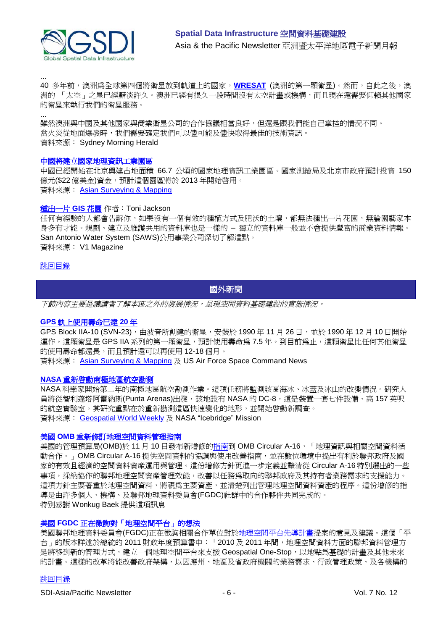

... 40 多年前,澳洲為全球第四個將衛星放到軌道上的國家,[WRESAT](http://homepage.powerup.com.au/~woomera/wresat.htm) (澳洲的第一顆衛星)。然而,自此之後,澳 洲的 「太空」之星已經黯淡許久。澳洲已經有很久一段時間沒有太空計畫或機構,而且現在還需要仰賴其他國家 的衛星來執行我們的衛星服務。

... 雖然澳洲與中國及其他國家與商業衛星公司的合作協議相當良好,但還是跟我們能自己掌控的情況不同。 當火災從地面爆發時,我們需要確定我們可以儘可能及儘快取得最佳的技術資訊。 資料來源: Sydney Morning Herald

#### 中國將建立國家地理資訊工業園區

中國已經開始在北京興建占地面積 66.7 公頃的國家地理資訊工業園區。國家測繪局及北京市政府預計投資 150 億元(\$22 億美金)資金,預計這個園區將於 2013 年開始啓用。 資料來源: [Asian Surveying & Mapping](http://asmmag.com/news/china-to-build-a-national-level-geographic-information-industrial-park-)

### [種出一片](http://www.vector1media.com/articles/features/16615-growing-a-gis-garden) **GIS** 花園 作者:Toni Jackson

任何有經驗的人都會告訴你,如果沒有一個有效的種植方式及肥沃的土壤,都無法種出一片花園,無論園藝家本 身多有才能。規劃、建立及維護共用的資料庫也是一樣的 – 獨立的資料庫一般並不會提供豐富的商業資料情報。 San Antonio Water System (SAWS)公用事業公司深切了解這點。 資料來源: V1 Magazine

#### <span id="page-5-0"></span>[跳回目錄](#page-0-0)

## 國外新聞

下節內容主要是讓讀者了解本區之外的發展情況,呈現空間資料基礎建設的實施情況。

#### **GPS** [軌上使用壽命已達](http://www.afspc.af.mil/news/story.asp?id=123232581) **20** 年

GPS Block IIA-10 (SVN-23),由波音所創建的衛星,安裝於 1990 年 11 月 26 日,並於 1990 年 12 月 10 日開始 運作。這顆衛星是 GPS IIA 系列的第一顆衛星, 預計使用壽命為 7.5 年。到目前為止,這顆衛星比任何其他衛星 的使用壽命都還長,而且預計還可以再使用 12-18個月。

資料來源: [Asian Surveying & Mapping](http://asmmag.com/news/global-positioning-system-satellite-achieves-20-years-on-orbit-) 及 US Air Force Space Command News

#### **NASA** [重新啟動南極地區航空勘測](http://www.nasa.gov/mission_pages/icebridge/news/fall10/antarctic_2010campaign.html)

NASA 科學家開始第二年的南極地區航空勘測作業。這項任務將監測該區海冰、冰蓋及冰山的改變情況。研究人 員將從智利蓬塔阿雷納斯(Punta Arenas)出發,該地設有 NASA 的 DC-8,這是裝置一套七件設備、高 157 英呎 的航空實驗室。其研究重點在於重新勘測這區快速變化的地形,並開始啓動新調查。 資料來源: [Geospatial World Weekly](http://www.geospatialworld.net/index.php?option=com_content&view=article&id=18826%3Anasa-resumes-airborne-survey-in-antarctic&catid=47%3Aproduct-surveying-mapping&Itemid=1) 及 NASA "Icebridge" Mission

## 美國 **OMB** 重新修訂地理空間資料管理指南

美國的管理預算局(OMB)於 11月 10日發布新增修[的指南到](http://www.whitehouse.gov/sites/default/files/omb/memoranda/2011/m11-03.pdf) OMB Circular A-16, 「地理資訊與相關空間資料活 動合作。」OMB Circular A-16 提供空間資料的協調與使用改善指南,並在數位環境中提出有利於聯邦政府及國 家的有效且經濟的空間資料資產運用與管理。這份增修方針更進一步定義並釐清從 Circular A-16 特別選出的一些 事項,採納協作的聯邦地理空間資產管理效能,改善以任務為取向的聯邦政府及其持有者業務需求的支援能力。 這項方針主要著重於地理空間資料,將視為主要資產,並清楚列出管理地理空間資料資產的程序。這份增修的指 導是由許多個人、機構、及聯邦地理資料委員會(FGDC)社群中的合作夥伴共同完成的。 特別感謝 Wonkug Baek 提供這項訊息

#### 美國 **FGDC** 正在徵詢對「地理空間平台」的想法

美國聯邦地理資料委員會(FGDC)正在徵詢相關合作單位對[於地理空間平台先導計畫提](http://www.geoplatform.gov/)案的意見及建議。這個「平 台」的版本詳述於總統的 2011 財政年度預算書中:「2010 及 2011 年間,地理空間資料方面的聯邦資料管理方 是將移到新的管理方式,建立一個地理空間平台來支援 Geospatial One-Stop, 以地點為基礎的計畫及其他未來 的計畫。這樣的改革將能改善政府架構,以因應州、地區及省政府機關的業務需求、行政管理政策、及各機構的

## [跳回目錄](#page-0-0)

SDI-Asia/Pacific Newsletter  $\overline{6}$  - 6 -  $\overline{8}$  -  $\overline{9}$  -  $\overline{9}$  -  $\overline{9}$  -  $\overline{9}$  Vol. 7 No. 12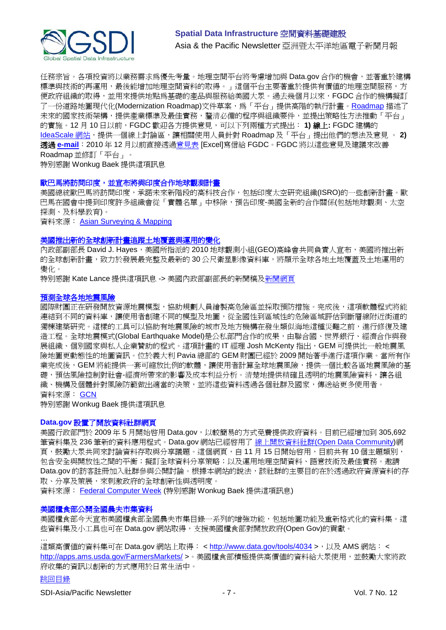

任務宗旨。各項投資將以業務需求爲優先考量。地理空間平台將考慮增加與 Data.gov 合作的機會,並著重於建構 標準與技術的再運用,最後能增加地理空間資料的取得。」這個平台主要著重於提供有價值的地理空間服務,方 便政府組織的取得,並用來提供地點為基礎的產品與服務給美國大眾。過去幾個月以來,FGDC 合作的機構擬訂 了一份道路地圖現代化(Modernization [Roadmap](http://www.geoplatform.gov/))文件草案,為「平台」提供高階的執行計畫。Roadmap 描述了 未來的國家技術架構,提供產業標準及最佳實務,釐清必備的程序與組織要件,並提出策略性方法推動「平台」 的實施。12 月 10 日以前,FGDC 歡迎各方提供意見,可以下列兩種方式提出: **1)** 線上**:** FGDC 建構的 [IdeaScale](http://geoplatform.ideascale.com/) 網站,提供一個線上討論區,讓相關使用人員針對 Roadmap 及「平台」提出他們的想法及意見。 2) 透過 **[e-mail](mailto:geoplatformcomments@fgdc.gov)**:2010 年 12 月以前直接透[過意見表](http://www.fgdc.gov/fgdc-news/GeoPlatform-Roadmap-v3-Comment-Log.xlsx/view) [Excel]寫信給 FGDC。FGDC 將以這些意見及建議來改善 Roadmap 並修訂「平台」。

特別感謝 Wonkug Baek 提供這項訊息

#### 歐巴馬將訪問印度,並宣布將與印度合作地球觀測計畫

美國總統歐巴馬將訪問印度,承諾未來新階段的高科技合作,包括印度太空研究組織(ISRO)的一些創新計畫。歐 巴馬在國會中提到印度許多組織會從「實體名單」中移除,預告印度-美國全新的合作關係(包括地球觀測、太空 探測、及科學教育)。

資料來源: [Asian Surveying & Mapping](http://asmmag.com/news/obama-visit-heralds-earth-observation-partnerships-with-india)

#### [美國推出新的全球創新計畫追蹤土地覆蓋與運用的變化](http://www.doi.gov/news/pressreleases/United-States-Launches-New-Global-Initiative-to-Track-Changes-in-Land-Cover-and-Use-Data-Sharing-Will-Assist-Land-Managers-Worldwide.cfm)

內政部副部長 David J. Hayes, 美國所指派的 2010 地球觀測小組(GEO)高峰會共同負責人宣布, 美國將推出新 的全球創新計畫,致力於發展最完整及最新的30公尺衛星影像資料庫,將顯示全球各地土地覆蓋及土地運用的 變化。

特別感謝 Kate Lance 提供這項訊息 -> 美國內政部副部長的新聞稿[及新聞網頁](http://www.doi.gov/news/doinews/US-Launches-Initiatives-to-Share-Climate-Science-Data.cfm)

#### [預測全球各地地震風險](http://gcn.com/articles/2010/11/03/global-earthquake-model.aspx)

國際財團正在研發開放資源地震模型,協助規劃人員繪製高危險區並採取預防措施。完成後,這項軟體程式將能 連結到不同的資料庫,讓使用者創建不同的模型及地圖,從全國性到區域性的危險區域評估到斷層線附近街道的 獨棟建築研究。這樣的工具可以協助有地震風險的城市及地方機構在發生類似海地這種災難之前,進行修復及建 造工程。全球地震模式(Global Earthquake Model)是公私部門合作的成果,由聯合國、世界銀行、經濟合作與發 展組織、個別國家與私人企業贊助的程式。這項計畫的 IT 經理 Josh McKenty 指出,GEM 可提供比一般地震風 險地圖更動態性的地圖資訊。位於義大利 Pavia 總部的 GEM 財團已經於 2009 開始著手進行這項作業。當所有作 業宗成後,GEM 將能提供一套可縮放比例的軟體,讓使用者計算全球地震風險,提供一個比較各區地震風險的基 礎,預估風險控制對社會-經濟所帶來的影響及成本利益分析。清楚地提供精確且透明的地震風險資料,讓各組 織、機構及個體針對風險防範做出適當的決策,並將這些資料透過各個社群及國家,傳送給更多使用者。 資料來源: [GCN](http://gcn.com/)

特別感謝 Wonkug Baek 提供這項訊息

#### **Data.gov** 設置了開放資料社群網頁

美國行政部門於 2009 年 5 月開始啓用 Data.gov, 以較簡易的方式免費提供政府資料。目前已經增加到 305,692 筆資料集及 236 筆新的資料應用程式。Data.gov 網站已經啓用了線上開放資料社群[\(Open Data Community\)](http://www.data.gov/communities/opendata)網 頁,鼓勵大眾共同來討論資料存取與分享議題。這個網頁,自11月15日開始啓用,目前共有10個主題類別, 包含安全與開放性之間的平衡;擬訂全球資料分享策略;以及運用地理空間資料、語意技術及最佳實務。邀請 Data.gov 的訪客註冊加入社群參與公開討論。根據本網站的說法,該社群的主要目的在於透過政府資源資料的存 取、分享及策展,來刺激政府的全球創新性與透明度。

資料來源: [Federal Computer Week](http://fcw.com/articles/2010/11/17/data.gov-communities-open-data.aspx) (特別感謝 Wonkug Baek 提供這項訊息)

#### 美國糧食部公開全國農夫市集資料

美國糧食部今天宣布美國糧食部全國農夫市集目錄一系列的增強功能,包括地圖功能及重新格式化的資料集。這 些資料集及小工具也可在 Data.gov 網站取得,支援美國糧食部對開放政府(Open Gov)的貢獻。

… 這類高價值的資料集可在 Data.gov 網站上取得: <<http://www.data.gov/tools/4034> >, 以及 AMS 網站: < <http://apps.ams.usda.gov/FarmersMarkets/> >。美國糧食部積極提供高價值的資料給大眾使用,並鼓勵大家將政 府收集的資訊以創新的方式應用於日常生活中。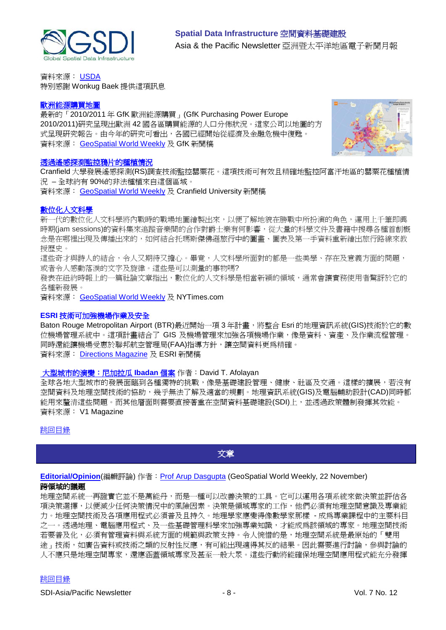

資料來源: [USDA](http://www.usda.gov/wps/portal/usda/!ut/p/c4/04_SB8K8xLLM9MSSzPy8xBz9CP0os_gAC9-wMJ8QY0MDpxBDA09nXw9DFxcXQ-cAA_2CbEdFAEUOjoE!/?contentidonly=true&contentid=2010%2F11%2F0609.xml) 特別感謝 Wonkug Baek 提供這項訊息

### [歐洲能源購買地圖](http://www.gfk-geomarketing.com/fileadmin/newsletter/pressrelease/purchasing-power_europe_2010.html)

最新的「2010/2011 年 GfK 歐洲能源購買」(GfK Purchasing Power Europe 2010/2011)研究呈現出歐洲 42 國各區購買能源的人口分佈狀況。這家公司以地圖的方 式呈現研究報告。由今年的研究可看出,各國已經開始從經濟及金融危機中復甦。 資料來源: [GeoSpatial World Weekly](http://geospatialworld.net/index.php?option=com_content&view=article&id=19004%3Amap-highlights-european-consumers-potential-&catid=72%3Abusiness-market-survey-research&Itemid=1&pagetype=newssearch) 及 GfK 新聞稿



#### [透過遙感探測監控鴉片的種植情況](http://www.cranfield.ac.uk/news/pressreleases/2010/page51323.html?cid=rssfeed)

Cranfield 大學發展遙感探測(RS)調查技術監控罌粟花。這項技術可有效且精確地監控阿富汗地區的罌粟花種植情 況 – 全球約有 90%的非法種植來自這個區域。

資料來源: [GeoSpatial World Weekly](http://geospatialworld.net/index.php?option=com_content&view=article&id=19006%3Ars-techniques-improve-monitoring-of-opium-poppy&catid=51%3Aapplication-agriculture&Itemid=1&pagetype=newssearch) 及 Cranfield University 新聞稿

## [數位化人文科學](http://www.nytimes.com/2010/11/17/arts/17digital.html?_r=2&hp)

新一代的數位化人文科學將內戰時的戰場地圖繪製出來,以便了解地貌在勝戰中所扮演的角色,運用上千筆即興 時期(jam sessions)的資料集來追蹤音樂間的合作對爵士樂有何影響,從大量的科學文件及書籍中搜尋各種首創概 念是在哪裡出現及傳播出來的,如何結合托瑪斯傑佛遜旅行中的圖畫、圖表及第一手資料重新繪出旅行路線來教 授歷史。

這些奇才與詩人的結合,令人又期待又擔心。畢竟,人文科學所面對的都是一些美學、存在及意義方面的問題, 或者令人感動落淚的文字及旋律。這些是可以測量的事物嗎?

發表在紐約時報上的一篇社論文章指出,數位化的人文科學是相當新穎的領域,通常會讓實務使用者驚訝於它的 各種新發展。

資料來源: [GeoSpatial World Weekly](http://geospatialworld.net/index.php?option=com_content&view=article&id=19008%3Adigital-humanities--the-next-big-thing&catid=66%3Aapplication-miscellaneous&Itemid=1&pagetype=newssearch) 及 NYTimes.com

### **ESRI** 技術可加強機場作業及安全

Baton Rouge Metropolitan Airport (BTR)最近開始一項3年計畫,將整合 Esri 的地理資訊系統(GIS)技術於它的數 位機場管理系統中。這項計畫結合了 GIS 及機場管理來加強各項機場作業,像是資料、資產、及作業流程管理。 同時還能讓機場受惠於聯邦航空管理局(FAA)指導方針,讓空間資料更為精確。 資料來源: Directions Magazine 及 ESRI 新聞稿

## [大型城市的演變:尼加拉瓜](http://www.vector1media.com/articles/features/16973-the-evolution-of-a-mega-city-the-case-of-ibadan-nigeria) **Ibadan** 個案 作者:David T. Afolayan

全球各地大型城市的發展面臨到各種獨特的挑戰,像是基礎建設管理、健康、社區及交通。這樣的擴展,若沒有 空間資料及地理空間技術的協助,幾乎無法了解及適當的規劃。地理資訊系統(GIS)及電腦輔助設計(CAD)同時都 能用來釐清這些問題。而其他層面則需要直接著重在空間資料基礎建設(SDI)上,並透過政策體制發揮其效能。 資料來源: V1 Magazine

## <span id="page-7-0"></span>[跳回目錄](#page-0-0)

文章

**[Editorial/Opinion](http://www.geospatialworld.net/newsletter/weekly_newsletter/nov2210.htm)**(編輯評論) 作者: [Prof Arup Dasgupta](mailto:arup.dasgupta@gisdevelopment.net) (GeoSpatial World Weekly, 22 November) 跨領域的議題

地理空間系統一再證實它並不是萬能丹,而是一種可以改善決策的工具。它可以運用各項系統來做決策並評估各 項決策選擇,以便減少任何決策情況中的風險因素。決策是領域專家的工作,他們必須有地理空間意識及專業能 力。地理空間技術及各項應用程式必須普及且持久。地理學家應變得像數學家那樣 - 成為專業課程中的主要科目 之一。透過地理、電腦應用程式、及一些基礎管理科學來加強專業知識,才能成為該領域的專家。地理空間技術 若要普及化,必須有管理資料與系統方面的規範與政策支持。令人惋惜的是,地理空間系統是最原始的「雙用 途」技術,如廣告資料或技術之類的反射性反應,有可能出現適得其反的結果。因此需要進行討論,參與討論的 人不應只是地理空間專家,還應涵蓋領域專家及甚至一般大眾。這些行動將能確保地理空間應用程式能充分發揮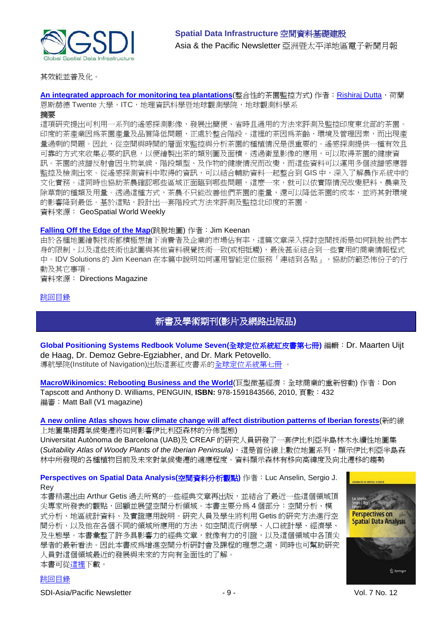

其效能並普及化。

[An integrated approach for monitoring tea plantations](http://geospatialworld.net/index.php?option=com_content&view=article&id=19161%3Aan-integrated-approach-for-monitoring-tea-plantations-&catid=111%3Aagriculture-overview&Itemid=41)(整合性的茶園監控方式) 作者: [Rishiraj Dutta](mailto:dutta13191@itc.nl), 荷蘭 恩斯赫德 Twente 大學, ITC, 地理資訊科學暨地球觀測學院, 地球觀測科學系

#### 摘要

這項研究提出可利用一系列的遙感探測影像,發展出簡便、省時且通用的方法來評測及監控印度東北部的茶園。 印度的茶產業因為茶園產量及品質降低問題,正處於整合階段。這裡的茶因為茶齡、環境及管理因素,而出現產 量過剩的問題。因此,從空間與時間的層面來監控與分析茶園的種植情況是很重要的。遙感探測提供一種有效且 可靠的方式來收集必要的訊息,以便繪製出茶的類別圖及面積。透過衛星影像的應用,可以取得茶園的健康資 訊。茶園的波譜反射會因生物氣候、階段類型、及作物的健康情況而改變,而這些資料可以運用多個波譜感應器 監控及檢測出來。從遙感探測資料中取得的資訊,可以結合輔助資料一起整合到 GIS 中,深入了解農作系統中的 文化實務。這同時也協助茶農確認哪些區域正面臨到哪些問題,這麼一來,就可以依實際情況改變肥料、農業及 除草劑的種類及用量。透過這種方式,茶農不只能改善他們茶園的產量,還可以降低茶園的成本,並將其對環境 的影響降到最低。基於這點,設計出一套階段式方法來評測及監控北印度的茶園。 資料來源: GeoSpatial World Weekly

## **[Falling Off the Edge of the Map](http://www.directionsmag.com/articles/falling-off-the-edge-of-the-map/142735)**(跳脫地圖) 作者: Jim Keenan

由於各種地圖繪製技術都積極想搶下消費者及企業的市場佔有率,這篇文章深入探討空間技術是如何跳脫他們本 身的限制,以及這些技術也試圖與其他資料視覺技術一致(或相牴觸),最後甚至結合到一些實用的商業情報程式 中。IDV Solutions 的 Jim Keenan 在本篇中說明如何運用智能定位服務「連結到各點」,協助防範恐怖份子的行 動及其它事項。

#### 資料來源: Directions Magazine

## <span id="page-8-0"></span>[跳回目錄](#page-0-0)

## 新書及學術期刊**(**影片及網路出版品**)**

**Global Positioning Systems Redbook Volume Seven(**全球定位系統紅皮書第七冊**)** 編輯:Dr. Maarten Uijt de Haag, Dr. Demoz Gebre-Egziabher, and Dr. Mark Petovello. 導航學院(Institute of Navigation)出版這套紅皮書系[的全球定位系統第七冊](http://www.ion.org/publications/toc/redbookstocV7.htm) 。

[MacroWikinomics: Rebooting Business and the World](http://www.vector1media.com/articles/reviews/17006-macrowikinomics-rebooting-business-and-the-world)(巨型微基經濟:全球商業的重新啓動) 作者: Don Tapscott and Anthony D. Williams, PENGUIN, **ISBN:** 978-1591843566, 2010, 頁數:432 編審:Matt Ball (V1 magazine)

## **[A new online Atlas shows how climate change will affect distribution patterns of Iberian forests](http://www.directionsmag.com/pressreleases/a-new-online-atlas-shows-how-climate-change-will-affect-distribution-p/144860)**(新的線 上地圖集揭露氣候變遷將如何影響伊比利亞森林的分佈型態)

Universitat Autònoma de Barcelona (UAB)及 CREAF 的研究人員研發了一套伊比利亞半島林木永續性地圖集 (*Suitability Atlas of Woody Plants of the Iberian Peninsula)*,這是首份線上數位地圖系列,顯示伊比利亞半島森 林中所發現的各種植物目前及未來對氣候變遷的適應程度。資料顯示森林有移向高緯度及向北遷移的趨勢

## **Perspectives on Spatial Data Analysis(**空間資料分析觀點**)** 作者:Luc Anselin, Sergio J. Rey

本書精選出由 Arthur Getis 過去所寫的一些經典文章再出版,並結合了最近一些這個領域頂 尖專家所發表的觀點,回顧並展望空間分析領域。本書主要分為 4 個部分:空間分析、模 式分析、地區統計資料、及實證應用說明。研究人員及學生將利用 Getis 的研究方法進行空 間分析,以及他在各個不同的領域所應用的方法,如空間流行病學、人口統計學、經濟學、 及生態學。本書彙整了許多具影響力的經典文章,就像有力的引證,以及這個領域中各頂尖 學者的最新看法。因此本書成爲增進空間分析研討會及課程的理想之選,同時也可幫助研究 人員對這個領域最近的發展與未來的方向有全面性的了解。 本書可[從這裡下](http://www.ebook3000.com/Perspectives-on-Spatial-Data-Analysis_104572.html)載。



[跳回目錄](#page-0-0)

SDI-Asia/Pacific Newsletter  $\overline{9}$  - 9 -  $\overline{9}$  -  $\overline{9}$  -  $\overline{9}$  Vol. 7 No. 12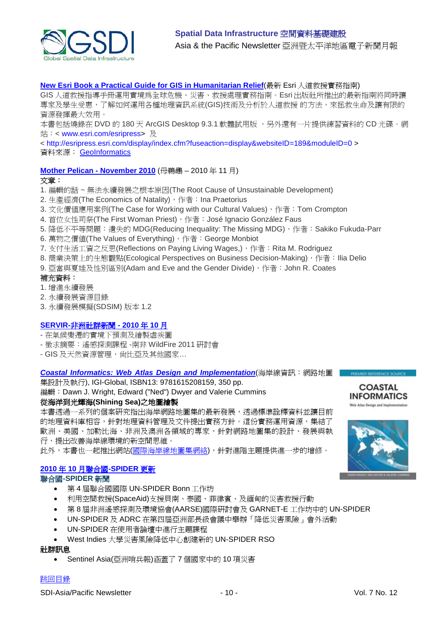

## **[New Esri Book a Practical Guide for GIS in Humanitarian Relief](http://www.geoinformatics.com/blog/latest-news/new-esri-book-a-practical-guide-for-gis-in-humanitarian-relief)**(最新 Esri 人道救援實務指南)

GIS 人道救援指導手冊運用實境為全球危機、災害、救援處理實務指南。Esri 出版社所推出的最新指南將同時讓 專家及學生受惠,了解如何運用各種地理資訊系統(GIS)技術及分析於人道救援 的方法,來拯救生命及讓有限的 資源發揮最大效用。

本書包括燒錄在 DVD 的 180 天 ArcGIS Desktop 9.3.1 軟體試用版,另外還有一片提供練習資料的 CD 光碟。網 站: < [www.esri.com/esripress>](http://www.esri.com/esripress) 及

<<http://esripress.esri.com/display/index.cfm?fuseaction=display&websiteID=189&moduleID=0> > 資料來源: [GeoInformatics](http://www.geoinformatics.com/blog/)

## **[Mother Pelican -](http://www.pelicanweb.org/solisustv06n11page1.html) November 2010** (母鵜鶘 – 2010 年 11 月)

#### 文章:

- 1. 編輯的話 ~ 無法永續發展之根本原因(The Root Cause of Unsustainable Development)
- 2. 生產經濟(The Economics of Natality), 作者: Ina Praetorius
- 3. 文化價值應用案例(The Case for Working with our Cultural Values), 作者: Tom Crompton
- 4. 首位女性司祭(The First Woman Priest), 作者: José Ignacio González Faus
- 5. 降低不平等問題:遺失的 MDG(Reducing Inequality: The Missing MDG), 作者: Sakiko Fukuda-Parr
- 6. 萬物之價值(The Values of Everything), 作者: George Monbiot
- 7. 支付生活工資之反思(Reflections on Paying Living Wages,), 作者: Rita M. Rodriguez
- 8. 商業決策上的生態觀點(Ecological Perspectives on Business Decision-Making),作者:Ilia Delio
- 9. 亞當與夏娃及性別區別(Adam and Eve and the Gender Divide),作者:John R. Coates

#### 補充資料:

- 1. 增進永續發展
- 2. 永續發展資源目錄
- 3. 永續發展模擬(SDSIM) 版本 1.2

## **SERVIR-**[非洲社群新聞](http://www.servir.net/africa/index.php?option=com_mamblog&Itemid=54&task=show&action=all&id=0&ignorecount=1) **- 2010** 年 **10** 月

- 在氣候變遷的實境下預測及繪製虐疾圖
- 徵求摘要:遙感探測課程 -南非 WildFire 2011 研討會
- GIS 及天然資源管理, 尚比亞及其他國家...

#### *[Coastal Informatics: Web Atlas Design and Implementation](http://icoastalatlas.net/handbook)*(海岸線資訊:網路地圖

集設計及執行), IGI-Global, ISBN13: 9781615208159, 350 pp.

## 編輯: Dawn J. Wright, Edward ("Ned") Dwyer and Valerie Cummins

## 從海洋到光輝海**(Shining Sea)**之地圖繪製

本書透過一系列的個案研究指出海岸網路地圖集的最新發展,透過標準詮釋資料並讓目前 的地理資料庫相容,針對地理資料管理及文件提出實務方針。這份實務運用資源,集結了 歐洲、美國、加勒比海、非洲及澳洲各領域的專家,針對網路地圖集的設計、發展與執 行,提出改善海岸線環境的新空間思維。

此外,本書也一起推出網站([國際海岸線地圖集網絡](http://icoastalatlas.net/)),針對進階主題提供進一步的增修。

## **2010** 年 **10** 月聯合國**[-SPIDER](http://www.un-spider.org/about/updates/october-2010)** 更新

## 聯合國**-SPIDER** 新聞

- 第 4 屆聯合國國際 UN-SPIDER Bonn 工作坊
- 利用空間救援(SpaceAid)支援貝南、泰國、菲律賓、及緬甸的災害救援行動
- 第 8 屆非洲遙感探測及環境協會(AARSE)國際研討會及 GARNET-E 工作坊中的 UN-SPIDER
- UN-SPIDER 及 ADRC 在第四屆亞洲部長級會議中舉辦「降低災害風險」會外活動
- UN-SPIDER 在使用者論壇中進行主題課程
- West Indies 大學災害風險降低中心創建新的 UN-SPIDER RSO

## 社群訊息

• Sentinel Asia(亞洲哨兵報)涵蓋了 7 個國家中的 10 項災害

## [跳回目錄](#page-0-0)



PREMIER REFERENCE SCUL

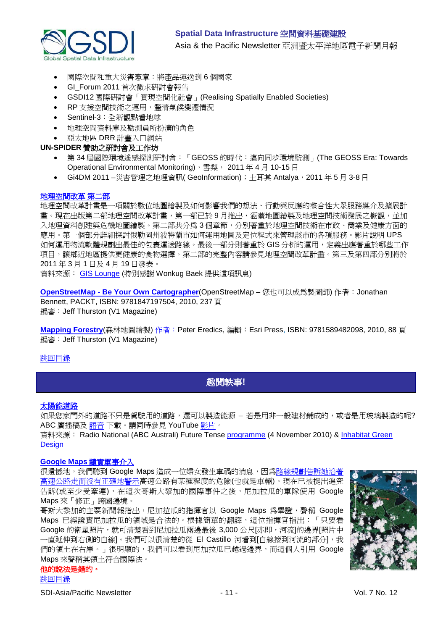

- 國際空間和重大災害憲章:將產品運送到 6 個國家
- GI\_Forum 2011 首次徵求研討會報告
- GSDI12 國際研討會「實現空間化社會」(Realising Spatially Enabled Societies)
- RP 支援空間技術之運用,釐清氣候變遷情況
- Sentinel-3:全新觀點看地球
- 地理空間資料庫及勘測員所扮演的角色
- 亞太地區 DRR 計畫入口網站

## **UN-SPIDER** 贊助之研討會及工作坊

- 第 34 屆國際環境遙感探測研討會:「GEOSS 的時代:邁向同步環境監測」(The GEOSS Era: Towards Operational Environmental Monitoring), 雪梨, 2011年4月10-15日
- Gi4DM 2011 –災害管理之地理資訊( GeoInformation); 十耳其 Antalya, 2011 年 5 月 3-8 日

## [地理空間改革](http://geospatialrevolution.psu.edu/) 第二部

地理空間改革計畫是一項關於數位地圖繪製及如何影響我們的想法、行動與反應的整合性大眾服務媒介及擴展計 畫。現在出版第二部地理空間改革計畫,第一部已於 9 月推出,涵蓋地圖繪製及地理空間技術發展之概觀,並加 入地理資料創建與危機地圖繪製。第二部共分為 3 個章節,分別著重於地理空間技術在市政、商業及健康方面的 應用。第一個部分詳細探討俄勒岡州波特蘭市如何運用地圖及定位程式來管理該市的各項服務。影片說明 UPS 如何運用物流軟體規劃出最佳的包裹運送路線。最後一部分則著重於 GIS 分析的運用,定義出應著重於哪些工作 項目,讓鄰近地區提供更健康的食物選擇。第二部的完整內容請參見地理空間改革計畫。第三及第四部分別將於 2011 年 3 月 1 日及 4 月 19 日發表。

資料來源: [GIS Lounge](http://gislounge.com/geospatial-revolution-debuts-second-episode/) (特別感謝 Wonkug Baek 提供這項訊息)

**OpenStreetMap - [Be Your Own Cartographer](http://www.vector1media.com/articles/reviews/16978-openstreetmap-be-your-own-cartographer)**(OpenStreetMap – 您也可以成為製圖師) 作者:Jonathan Bennett, PACKT, ISBN: 9781847197504, 2010, 237 頁 編審:Jeff Thurston (V1 Magazine)

**[Mapping Forestry](http://www.vector1media.com/articles/reviews/16461-mapping-forestry)**(森林地圖繪製) 作者:Peter Eredics, 編輯:[Esri Press, I](http://esripress.esri.com/display/index.cfm?fuseaction=display&websiteID=168)SBN: 9781589482098, 2010, 88 頁 編審: Jeff Thurston (V1 Magazine)

## <span id="page-10-0"></span>[跳回目錄](#page-0-0)

## 趣聞軼事**!**

## [太陽能道路](http://www.solarroadways.com/main.html)

如果您家門外的道路不只是駕駛用的道路,還可以製造能源 – 若是用非一般建材鋪成的,或者是用玻璃製造的呢? ABC 廣播稿及 [語音](http://mpegmedia.abc.net.au/rn/podcast/2010/11/fte_20101104_0830.mp3) 下載。請同時參見 YouTube [影片。](http://www.youtube.com/watch?v=Ep4L18zOEYI)

資料來源: Radio National (ABC Australi) Future Tense [programme](http://www.abc.net.au/rn/futuretense/stories/2010/3049796.htm) (4 November 2010) & Inhabitat Green **[Design](http://www.inhabitat.com/2009/08/27/solar-roadways-to-prototype-first-ever-solar-road-panel)** 

## **[Google Maps](http://www.loweringthebar.net/2010/11/google-maps-blamed-for-invasion.html)** 譴責軍事介入

很遺憾地,我們聽到 Google Maps 造成一位婦女發生車禍的消息,因[為路線規劃告訴她沿著](http://www.loweringthebar.net/2010/05/google-maps-made-me-walk-onto-the-highway-woman-claims.html) [高速公路走而沒有正確地警示高](http://www.loweringthebar.net/2010/05/google-maps-made-me-walk-onto-the-highway-woman-claims.html)速公路有某種程度的危險(也就是車輛)。現在已被提出追究 告訴(或至少受牽連), 在這次哥斯大黎加的國際事件之後, 尼加拉瓜的軍隊使用 Google Maps 來「修正」跨國邊境。

哥斯大黎加的主要新聞報指出,尼加拉瓜的指揮官以 Google Maps 為舉證,聲稱 Google Maps 已經證實尼加拉瓜的領域是合法的。根據簡單的翻譯,這位指揮官指出:「只要看 Google 的衛星照片,就可清楚看到尼加拉瓜兩邊最後 3,000 公尺[亦即,河流]的邊界[照片中 一直延伸到右側的白線]。我們可以很清楚的從 El Castillo 河看到「白線接到河流的部分」,我 們的領土在右岸。」很明顯的,我們可以看到尼加拉瓜已越過邊界,而這個人引用 Google Maps 來聲稱其領土符合國際法。

## 他的說法是錯的。

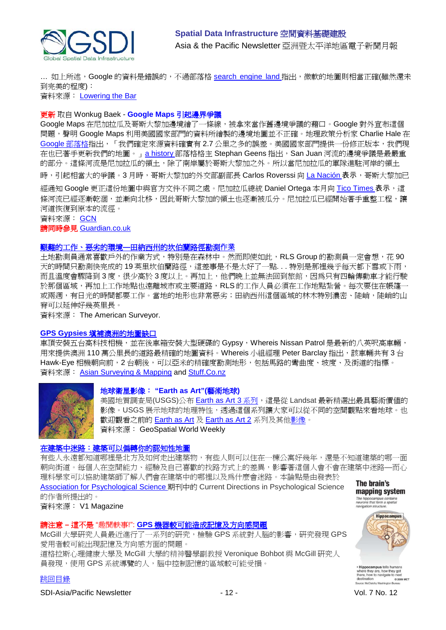

... 如上所述,Google 的資料是錯誤的,不過部落格 <u>search\_engine\_land </u>指出,微軟的地圖則相當正確(雖然還未 到完美的程度):

資料來源: [Lowering the Bar](http://www.loweringthebar.net/)

## 更新 取自 Wonkug Baek - **Google Maps** 引起邊界爭議

Google Maps 在尼加拉瓜及哥斯大黎加邊境繪了一條線,被拿來當作舊邊境爭議的藉口。Google 對外宣布這個 問題, 聲明 Google Maps 利用美國國家部門的資料所繪製的邊境地圖並不正確。地理政策分析家 Charlie Hale 在 Google [部落格指](http://google-latlong.blogspot.com/2010/11/regarding-boundary-between-costa-rica.html)出,「我們確定來源資料確實有2.7公里之多的誤差。美國國家部門提供一份修正版本,我們現 在也已著手更新我們的地圖。」[a history](http://ogleearth.com/2010/11/about-costa-rica-nicaragua-their-border-and-google/) 部落格格主 Stephan Geens 指出, San Juan 河流的邊境爭議是最嚴重 的部分。這條河流是尼加拉瓜的領土,除了南岸屬於哥斯大黎加之外。所以當尼加拉瓜的軍隊進駐河岸的領土

時,引起相當大的爭議。3 月時,哥斯大黎加的外交部副部長 Carlos Roverssi 向 [La Nación](http://www.nacion.com/2010-11-04/ElPais/NotasSecundarias/ElPais2577867.aspx) 表示,哥斯大黎加已

經通知 Google 更正這份地圖中與官方文件不同之處。尼加拉瓜總統 Daniel Ortega 本月向 [Tico Times](http://www.ticotimes.net/News/Daily-News/Nicaragua-s-President-Accuses-Costa-Rica-of-Trying-to-Steal-Rio-San-Juan_Tuesday-November-02-2010/(offset)/10) 表示,這 條河流已經逐漸乾涸,並漸向北移,因此哥斯大黎加的領土也逐漸被瓜分。尼加拉瓜已經開始著手重整工程,讓 河道恢復到原本的流徑。

資料來源: [GCN](http://gcn.com/articles/2010/11/09/ecg-google-maps-dragged-into-border-dispute.aspx?s=gcndaily_101110)

#### 請同時參見 [Guardian.co.uk](http://www.guardian.co.uk/technology/2010/nov/15/google-map-dispute-nicaragua)

## [艱難的工作、惡劣的環境](http://www.amerisurv.com/content/view/7990/153/)**—**田納西州的坎伯蘭路徑勘測作業

土地勘測員通常喜歡戶外的作業方式,特別是在森林中。然而即使如此,RLS Group 的勘測員一定會想,花 90 天的時間只勘測快完成的 19 英里坎伯蘭路徑,這差事是不是太好了一點. . . 特別是那裡幾乎每天都下雪或下雨, 而且溫度會驟降到 3 度,很少高於 3 度以上。再加上,他們晚上並無法回到旅館,因為只有四輪傳動車才能行駛 於那個區域,再加上工作地點也遠離城市或主要道路,RLS 的工作人員必須在工作地點紮營。每次要住在帳篷-或兩週,有日光的時間都要工作。當地的地形也非常惡劣;田納西州這個區域的林木特別濃密、陡峭,陡峭的山 脊可以延伸好幾英里長。

資料來源: The American Surveyor.

## **GPS Gypsies** [填補澳洲的地圖缺口](http://www.stuff.co.nz/travel/australia/outback/4326891/GPS-gypsies-fill-in-the-map-gaps)

車頂安裝五台高科技相機,並在後車箱安裝大型硬碟的 Gypsy, Whereis Nissan Patrol 是最新的八英呎高車輛, 用來提供澳洲 110 萬公里長的道路最精確的地圖資料。Whereis 小組經理 Peter Barclay 指出,該車輛共有 3 台 Hawk-Eye 相機朝向前,2 台朝後,可以亞米的精確度勘測地形,包括馬路的彎曲度、坡度、及街道的指標。 資料來源: [Asian Surveying & Mapping](http://asmmag.com/news/gps-gypsies-fill-in-the-map-gaps-in-australia) and [Stuff.Co.nz](http://www.stuff.co.nz/)



## 地球衛星影像: **"Earth as Art"(**藝術地球**)**

美國地質調查局(USGS)公布 [Earth as Art 3](http://eros.usgs.gov/imagegallery/collection.php?type=earth_as_art_3) 系列,這是從 Landsat 最新精選出最具藝術價值的 影像。USGS 展示地球的地理特性,透過這個系列讓大家可以從不同的空間觀點來看地球。也 歡迎觀看之前的 [Earth as Art](http://eros.usgs.gov/imagegallery/collection.php?type=earth_as_art) 及 [Earth as Art 2](http://eros.usgs.gov/imagegallery/collection.php?type=earth_as_art_2) 系列及其[他影像。](http://eros.usgs.gov/imagegallery/) 資料來源: GeoSpatial World Weekly

## [在建築中迷路:建築可以偏轉你的認知性地圖](http://www.vector1media.com/news/top-stories/53-corporate-news/17070-getting-lost-in-buildings-architecture-can-bias-your-cognitive-map)

有些人永遠都知道哪裡是北方及如何走出建築物,有些人則可以住在一棟公寓好幾年,還是不知道建築的哪一面 朝向街道。每個人在空間能力、經驗及自己喜歡的找路方式上的差異,影響著這個人會不會在建築中迷路—而心

理科學家可以協助建築師了解人們會在建築中的哪裡以及為什麼會迷路。本論點是由發表於 [Association for Psychological Science](http://www.psychologicalscience.org/index.php/news/releases/getting-lost-in-buildings-architecture-can-bias-your-cognitive-map.html) 期刊中的 Current Directions in Psychological Science 的作者所提出的。

資料來源: V1 Magazine

## 請注意 **–** 這不是 "趣聞軼事!": **GPS** [機器較可能造成記憶及方向感問題](http://www.dailytech.com/Study+GPS+Units+Cause+Memory+and+Spatial+Problems+/article20169.htm)

McGill 大學研究人員最近進行了一系列的研究,檢驗 GPS 系統對人腦的影響,研究發現 GPS 愛用者較可能出現記憶及方向感方面的問題。 道格拉斯心理健康大學及 McGill 大學的精神醫學副教授 Veronique Bohbot 與 McGill 研究人 員發現,使用 GPS 系統導覽的人,腦中控制記憶的區域較可能受損。

[跳回目錄](#page-0-0)

SDI-Asia/Pacific Newsletter  $\sim$  12 - 12 - Vol. 7 No. 12



The brain's mapping system

destination<br>Source: McClatchy Washir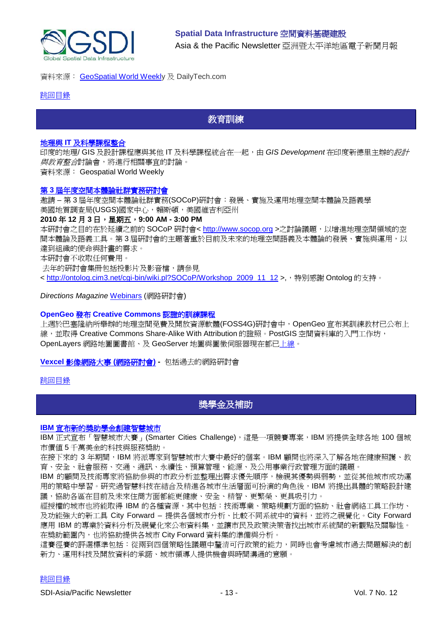

## 資料來源: [GeoSpatial World Weekly](http://geospatialworld.net/index.php?option=com_content&view=article&id=19007%3Agps-can-cause-memory-loss-research&catid=74%3Amiscellaneous-research&Itemid=1&pagetype=newssearch) 及 DailyTech.com

<span id="page-12-0"></span>[跳回目錄](#page-0-0)

# 教育訓練

#### 地理與 **IT** [及科學課程整合](http://www.geospatialworld.net/index.php?option=com_content&view=article&id=18849%3Acall-for-integration-of-geography-with-science-courses&catid=75%3Amiscellaneous-events&Itemid=1)

印度的地理/ GIS 及設計課程應與其他 IT 及科學課程統合在一起,由 *GIS Development* 在印度新德里主辦的設計 與教育整合討論會,將進行相關事宜的討論。 資料來源: Geospatial World Weekly

## 第 **3** [屆年度空間本體論社群實務研討會](http://www.fgdc.gov/fgdc-news/spatial-ontology-cop-workshop)

邀請 – 第 3 屆年度空間本體論社群實務(SOCoP)研討會:發展、實施及運用地理空間本體論及語義學 美國地質調查局(USGS)國家中心,賴斯頓,美國維吉利亞州

#### **2010** 年 **12** 月 **3** 日,星期五,**9:00 AM - 3:00 PM**

本研討會之目的在於延續之前的 SOCoP 研討會< [http://www.socop.org](http://www.socop.org/) >之討論議題,以增進地理空間領域的空 間本體論及語義工具。第 3 屆研討會的主題著重於目前及未來的地理空間語義及本體論的發展、實施與運用,以 達到組織的使命與計畫的需求。

本研討會不收取任何費用。

去年的研討會集冊包括投影片及影音檔,請參見

< [http://ontolog.cim3.net/cgi-bin/wiki.pl?SOCoP/Workshop\\_2009\\_11\\_12](http://ontolog.cim3.net/cgi-bin/wiki.pl?SOCoP/Workshop_2009_11_12) >,,特別感謝 Ontolog 的支持。

*Directions Magazine* [Webinars](http://www.directionsmag.com/webinars/) (網路研討會)

#### **OpenGeo** 發布 **Creative Commons** 認證的訓練課程

上週於巴塞隆納所舉辦的地理空間免費及開放資源軟體(FOSS4G)研討會中,OpenGeo 宣布其訓練教材已公布上 線, 並取得 Creative Commons Share-Alike With Attribution 的證照。PostGIS 空間資料庫的入門工作坊, OpenLayers 網路地圖圖書館、及 GeoServer 地圖與圖徵伺服器現在都[已上線。](http://www.workshops.opengeo.org/)

**Vexcel** [影像網路大事](http://www.microsoft.com/ultracam/en-us/WebEvents.aspx) **(**網路研討會**) -** 包括過去的網路研討會

## <span id="page-12-1"></span>[跳回目錄](#page-0-0)

# 獎學金及補助

#### **IBM** [宣布新的獎助學金創建智慧城市](http://www.smartercitieschallenge.org/)

IBM 正式宣布「智慧城市大賽」(Smarter Cities Challenge),這是一項競賽專案,IBM 將提供全球各地 100個城 市價值 5 千萬美金的科技與服務獎助。

在接下來的 3 年期間,IBM 將派專家到智慧城市大賽中最好的個案。IBM 顧問也將深入了解各地在健康照護、教 育、安全、社會服務、交通、通訊、永續性、預算管理、能源、及公用事業行政管理方面的議題。

IBM 的顧問及技術專家將協助參與的市政分析並整理出需求優先順序,檢視其優勢與弱勢,並從其他城市成功運 用的策略中學習。研究過智慧科技在結合及精進各城市生活層面可扮演的角色後,IBM 將提出具體的策略設計建 議,協助各區在目前及未來住商方面都能更健康、安全、精智、更繁榮、更具吸引力。

經授權的城市也將能取得 IBM 的各種資源,其中包括:技術專業、策略規劃方面的協助、社會網絡工具工作坊、 及功能強大的新工具 City Forward – 提供各個城市分析、比較不同系統中的資料,並將之視覺化。City Forward 應用 IBM 的專業於資料分析及視覺化來公布資料集,並讓市民及政策決策者找出城市系統間的新觀點及關聯性。 在獎助範圍內,也將協助提供各城市 City Forward 資料集的準備與分析。

這賽徑賽的評選標準包括:從兩到四個策略性議題中釐清可行政策的能力,同時也會考慮城市過去問題解決的創 新力、運用科技及開放資料的承諾、城市領導人提供機會與時間溝通的意願。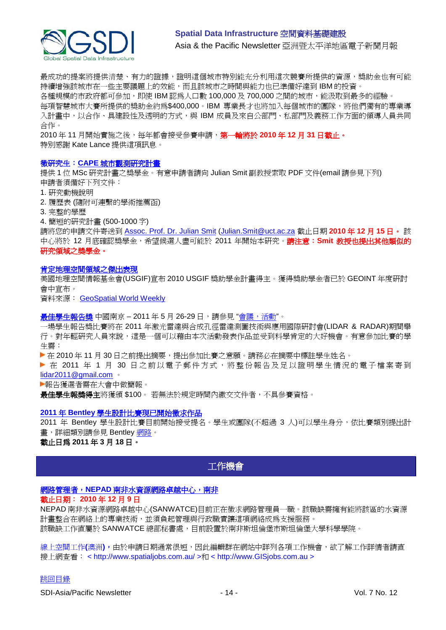

最成功的提案將提供清楚、有力的證據,證明這個城市特別能充分利用這次競賽所提供的資源,獎助金也有可能 持續增強該城市在一些主要議題上的效能,而且該城市之時間與能力也已準備好達到 IBM 的投資。 各種規模的市政府都可參加,即使 IBM 認為人口數 100,000 及 700,000 之間的城市,能汲取到最多的經驗。 每項智慧城市大賽所提供的獎助金約爲\$400,000。IBM 專業長才也將加入每個城市的團隊,將他們獨有的專業導 入計畫中,以合作、具建設性及透明的方式,與 IBM 成員及來自公部門、私部門及義務工作方面的領導人員共同 合作。

2010 年 11 月開始實施之後,每年都會接受參賽申請,第一輪將於 **2010** 年 **12** 月 **31** 日截止。 特別感謝 Kate Lance 提供這項訊息。

## 徵研究生:**CAPE** [城市觀測研究計畫](http://cuo.geomatics.uct.ac.za/)

提供 1 位 MSc 研究計畫之獎學金。有意申請者請向 Julian Smit 副教授索取 PDF 文件(email 請參見下列) 申請者須備好下列文件:

1. 研究動機說明

2. 履歷表 (隨附可連繫的學術推薦函)

3. 完整的學歷

4. 簡短的研究計畫 (500-1000 字)

請將您的申請文件寄送到 [Assoc. Prof. Dr. Julian Smit](mailto:Julian.Smit@uct.ac.za) [\(Julian.Smit@uct.ac.za](mailto:Julian.Smit@uct.ac.za) 截止日期 **2010** 年 **12** 月 **15** 日。 該 中心將於 12 月底確認獎學金,希望候選人盡可能於 2011 年開始本研究。請注意:**Smit** 教授也提出其他類似的 研究領域之獎學金。

#### [肯定地理空間領域之傑出表現](http://usgif.org/news/155-usgif-announces-geospatial-intelligence-awards-recipients)

美國地理空間情報基金會(USGIF)宣布 2010 USGIF 獎助學金計畫得主。獲得獎助學金者已於 GEOINT 年度研討 會中宣布。

資料來源: [GeoSpatial World Weekly](http://geospatialworld.net/index.php?option=com_content&view=article&id=18949%3Ausgif-recognises-exceptional-work-in-geospatial-domain&catid=81%3Amiscellaneous-award&Itemid=1&pagetype=newssearch)

最佳學生報告獎 中國南京 - 2011 年 5 月 26-29 日,請參見"[會議,活動](#page-15-1)"。

一場學生報告獎比賽將在 2011 年激光雷達與合成孔徑雷達測圖技術與應用國際研討會(LIDAR & RADAR)期間舉 行。對年輕研究人員來說,這是一個可以藉由本次活動發表作品並受到科學肯定的大好機會。有意參加比賽的學 生需:

▶ 在 2010 年 11 月 30 日之前提出摘要,提出參加比賽之意願。請務必在摘要中標註學生姓名。

▶ 在 2011 年 1 月 30 日之前以電子郵件方式,將整份報告及足以證明學生情況的電子檔案寄到 [lidar2011@gmail.com](mailto:lidar2011@gmail.com) 。

報告獲選者需在大會中做簡報。

**最佳學生報獎得主**將獲頒 \$100。 若無法於規定時間內繳交文件者,不具參賽資格。

#### **2011** 年 **Bentley** [學生設計比賽現已開始徵求作品](http://www.bentley.com/en-US/Corporate/News/Quarter+3/2011+Submissions.htm?BI=homepage&v=news+submissions)

2011 年 Bentley 學生設計比賽目前開始接受提名。學生或團隊(不超過 3 人)可以學生身分,依比賽類別提出計 畫,詳細類別請參見 Bentley [網路。](http://www.bentley.com/en-US/Corporate/News/Quarter+3/2011+Submissions.htm?BI=homepage&v=news+submissions)

## 截止日為 **2011** 年 **3** 月 **18** 日。

## <span id="page-13-0"></span>工作機會

## 網路管理者,**NEPAD** [南非水資源網路卓越中心,南非](http://www.nepadst.org/sanbio/download/vacancy_network_manager_2010.pdf)

## 截止日期: **2010** 年 **12** 月 **9** 日

NEPAD 南非水資源網路卓越中心(SANWATCE)目前正在徵求網路管理員一職。該職缺需擁有能將該區的水資源 計書整合在網絡上的專業技術,並須負起管理與行政職責讓這項網絡成為支援服務。 該職缺工作直屬於 SANWATCE 總部秘書處,目前設置於南非斯坦倫堡市斯坦倫堡大學科學學院。

線上空間工作(澳洲),由於申請日期通常很短,因此編輯群在網站中詳列各項工作機會,欲了解工作詳情者請直 接上網查看: < http://www.spatialjobs.com.au/ >和 < http://www.GISjobs.com.au >

## [跳回目錄](#page-0-0)

SDI-Asia/Pacific Newsletter  $\sim$  14 - 14 - Vol. 7 No. 12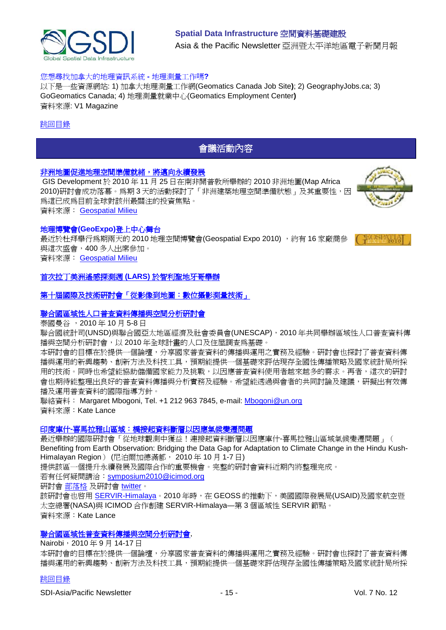

## **Spatial Data Infrastructure** 空間資料基礎建設 Asia & the Pacific Newsletter 亞洲暨太平洋地區電子新聞月報

### 您想尋找加拿大的地理資訊系統 **-** 地理測量工作嗎**?**

以下是一些資源網站: 1) 加拿大地理測量工作網(Geomatics Canada Job Site**)**; 2) GeographyJobs.ca; 3) GoGeomatics Canada; 4) 地理測量就業中心(Geomatics Employment Center**)**  資料來源: V1 Magazine

#### <span id="page-14-0"></span>[跳回目錄](#page-0-0)

## 會議活動內容

### [非洲地圖促進地理空間準備就緒,將邁向永續發展](http://geospatialmilieu.org/ezine/maf2010.asp)

GIS Development 於 2010 年 11 月 25 日在南非開普敦所舉辦的 2010 非洲地圖(Map Africa 2010)研討會成功落幕。為期 3 天的活動探討了「非洲建築地理空間準備狀態」及其重要性,因 為這已成為目前全球對該州最關注的投資焦點。 資料來源: [Geospatial Milieu](http://geospatialmilieu.org/)



#### 地理博覽會**(GeoExpo)**登上中心舞台

最近於杜拜舉行爲期兩天的 2010 地理空間博覽會(Geospatial Expo 2010) , 約有 16 家廠商參 與這次盛會,400 多人出席參加。 資料來源: [Geospatial Milieu](http://geospatialmilieu.org/)



## [首次拉丁美洲遙感探測週](http://geospatialmilieu.org/ezine/lars_event.asp) **(LARS)** 於智利聖地牙哥舉辦

#### 等十屆國際及技術研討會「從影像到地圖:數位攝影測量技術」

## [聯合國區域性人口普查資料傳播與空間分析研討會](http://unstats.un.org/unsd/demographic/meetings/wshops/Thailand_5Oct10/default.htm)

泰國曼谷 ,2010 年 10 月 5-8 日

聯合國統計司(UNSD)與聯合國亞太地區經濟及社會委員會(UNESCAP),2010 年共同舉辦區域性人口普查資料傳 播與空間分析研討會,以 2010 年全球計畫的人口及住屋調查為基礎。

本研討會的目標在於提供一個論壇,分享國家普查資料的傳播與運用之實務及經驗。研討會也探討了普查資料傳 播與運用的新興趨勢、創新方法及科技工具,預期能提供一個基礎來評估現存全國性傳播策略及國家統計局所採 用的技術。同時也希望能協助儲備國家能力及挑戰,以因應普查資料使用者越來越多的需求。再者,這次的研討 會也期待能整理出良好的普查資料傳播與分析實務及經驗。希望能透過與會者的共同討論及建議,研擬出有效傳 播及運用普查資料的國際指導方針。

聯絡資料: Margaret Mbogoni, Tel. +1 212 963 7845, e-mail: [Mbogoni@un.org](mailto:Mbogoni@un.org) 資料來源:Kate Lance

#### 印度庫什**-**[喜馬拉雅山區域:橋接起資料斷層以因應氣候變遷問題](http://geoportal.icimod.org/symposium2010/)

最近舉辦的國際研討會「從地球觀測中獲益!連接起資料斷層以因應庫什-喜馬拉雅山區域氣候變遷問題」( Benefiting from Earth Observation: Bridging the Data Gap for Adaptation to Climate Change in the Hindu Kush-Himalayan Region) (尼泊爾加德滿都, 2010年10月1-7日)

提供該區一個提升永續發展及國際合作的重要機會。完整的研討會資料近期內將整理完成。

若有任何疑問請洽: [symposium2010@icimod.org](mailto:symposium2010@icimod.org)

研討會 [部落格](http://earthobservation2010.blogspot.com/) 及研討會 [twitter](http://twitter.com/earthsymposium)。

該研討會也啓用 [SERVIR-Himalaya](http://www.nasa.gov/home/hqnews/2010/oct/HQ_10-241_SERVIR_Himalaya_prt.htm)。2010 年時,在 GEOSS 的推動下,美國國際發展局(USAID)及國家航空暨 太空總署(NASA)與 ICIMOD 合作創建 SERVIR-Himalaya—第 3 個區域性 SERVIR 節點。 資料來源:Kate Lance

### [聯合國區域性普查資料傳播與空間分析研討會](http://unstats.un.org/unsd/demographic/meetings/wshops/Kenya_14Sept2010/default.htm),

Nairobi, 2010年9月 14-17日

本研討會的目標在於提供一個論壇,分享國家普查資料的傳播與運用之實務及經驗。研討會也探討了普查資料傳 播與運用的新興趨勢、創新方法及科技工具,預期能提供一個基礎來評估現存全國性傳播策略及國家統計局所採

#### [跳回目錄](#page-0-0)

SDI-Asia/Pacific Newsletter  $\overline{15}$  - 15 -  $\overline{15}$  -  $\overline{10}$  Vol. 7 No. 12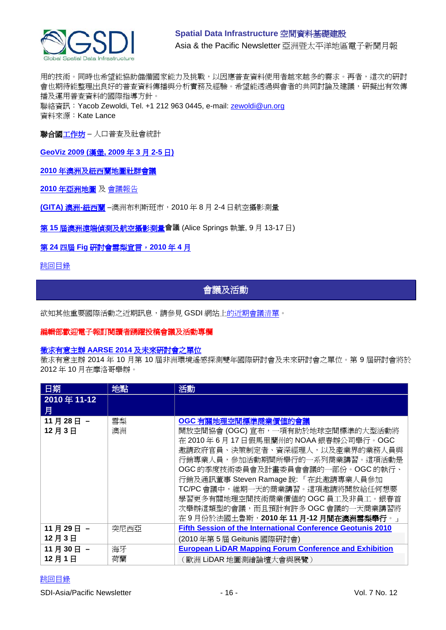

用的技術。同時也希望能協助儲備國家能力及挑戰,以因應普查資料使用者越來越多的需求。再者,這次的研討 會也期待能整理出良好的普查資料傳播與分析實務及經驗。希望能透過與會者的共同討論及建議,研擬出有效傳 播及運用普查資料的國際指導方針。 聯絡資訊: Yacob Zewoldi, Tel. +1 212 963 0445, e-mail: [zewoldi@un.org](mailto:zewoldi@un.org)

資料來源:Kate Lance

聯合[國工作坊](http://unstats.un.org/unsd/demographic/meetings/wshops/default.htm) – 人口普查及社會統計

**[GeoViz 2009 \(](http://www.geovisualisierung.net/geoviz_hamburg/geovizhh_program.htm)**漢堡**, 2009** 年 **3** 月 **2-5** 日**)**

**2010** [年澳洲及紐西蘭地圖社群會議](http://blogs.slq.qld.gov.au/jol/2010/05/14/the-australian-and-new-zealand-map-society-conference-2010/)

**2010** [年亞洲地圖](http://mapasia.org/2010/proceeding/index.htm) 及 [會議報告](http://mapasia.org/2010/mapasia2010report.pdf)

**[\(GITA\)](http://www.gisdevelopment.net/magazine/global/2010/september/50-Understanding-users-Key-to-successful-implementation.htm)** 澳洲**-**紐西蘭 –澳洲布利斯班市,2010 年 8 月 2-4 日航空攝影測量

第 **15** [屆澳洲遠端偵測及航空攝影測量](http://www.15.arspc.com/proceedings)會議 (Alice Springs 執筆, 9 月 13-17 日)

第 **24** 四屆 **Fig** [研討會雪梨宣言,](http://www.fig.net/pub/figpub/sydney_decl/sydney_declaration.pdf)**2010** 年 **4** 月

<span id="page-15-1"></span><span id="page-15-0"></span>[跳回目錄](#page-0-0)

會議及活動

欲知其他重要國際活動之近期訊息,請參見 GSDI 網站[上的近期會議清單。](http://gsdi.org/events/upcnf.asp)

## 編輯部歡迎電子報訂閱讀者踴躍投稿會議及活動專欄

## 徵求有意主辦 **AARSE 2014** 及未來研討會之單位

徵求有意主辦 2014 年 10 月第 10 屆非洲環境遙感探測雙年國際研討會及未來研討會之單位。第 9 屆研討會將於 2012 年 10 月在摩洛哥舉辦。

| 日期               | 地點       | 活動                                                                                                                                                                                                                                                                                                                                                                                            |
|------------------|----------|-----------------------------------------------------------------------------------------------------------------------------------------------------------------------------------------------------------------------------------------------------------------------------------------------------------------------------------------------------------------------------------------------|
| 2010年11-12<br>月  |          |                                                                                                                                                                                                                                                                                                                                                                                               |
| 11月28日-<br>12月3日 | 雪梨<br>澳洲 | OGC 有關地理空間標準商業價値的會議<br>開放空間協會 (OGC) 宣布,一項有助於地球空間標準的大型活動將<br>在 2010年6月17日假馬里蘭州的 NOAA 銀春辦公司舉行。OGC<br>邀請政府官員、決策制定者、資深經理人,以及產業界的業務人員與<br>行銷專業人員,參加活動期間所舉行的一系列商業講習。這項活動是<br>OGC 的季度技術委員會及計畫委員會會議的一部份。OGC 的執行、<br>行銷及通訊董事 Steven Ramage 說: 「在此邀請專業人員參加<br>TC/PC 會議中,維期一天的商業講習。這項邀請將開放給任何想要<br>學習更多有關地理空間技術商業價值的OGC員工及非員工。銀春首<br>次舉辦這類型的會議,而且預計有許多OGC會議的一天商業講習將<br>在9月份於法國土魯斯,2010年11月-12月間在澳洲雪梨舉行。」 |
| 11月29日-          | 突尼西亞     | <b>Fifth Session of the International Conference Geotunis 2010</b>                                                                                                                                                                                                                                                                                                                            |
| 12月3日            |          | (2010年第5屆 Geitunis 國際研討會)                                                                                                                                                                                                                                                                                                                                                                     |
| 11月30日-          | 海牙       | <b>European LiDAR Mapping Forum Conference and Exhibition</b>                                                                                                                                                                                                                                                                                                                                 |
| 12月1日            | 荷蘭       | (歐洲 LiDAR 地圖測繪論壇大會與展覽 )                                                                                                                                                                                                                                                                                                                                                                       |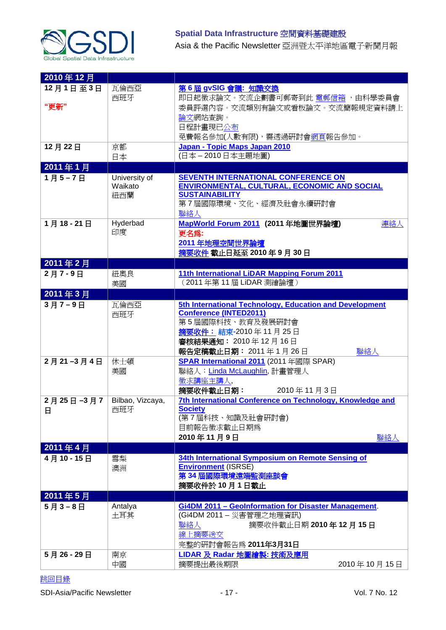

| 2010年12月         |                                 |                                                                                                                                                                                            |
|------------------|---------------------------------|--------------------------------------------------------------------------------------------------------------------------------------------------------------------------------------------|
| 12月1日至3日<br>"更新" | 瓦倫西亞<br>西班牙                     | 第6屆 gvSIG 會議: 知識交換<br>即日起徵求論文。交流企劃書可郵寄到此 電郵信箱 ,由科學委員會<br>委員評選內容。交流類別有論文或看板論文。交流簡報規定資料請上<br>論文網站查詢。<br>日程計畫現已公布<br>免費報名參加(人數有限),需透過硏討會網頁報告參加。                                               |
| 12月22日           | 京都<br>日本                        | Japan - Topic Maps Japan 2010<br>(日本-2010日本主題地圖)                                                                                                                                           |
| 2011年1月          |                                 |                                                                                                                                                                                            |
| 1月5-7日           | University of<br>Waikato<br>紐西蘭 | <b>SEVENTH INTERNATIONAL CONFERENCE ON</b><br>ENVIRONMENTAL, CULTURAL, ECONOMIC AND SOCIAL<br><b>SUSTAINABILITY</b><br>第7屆國際環境、文化、經濟及社會永續研討會<br>聯絡人                                        |
| 1月18-21日         | Hyderbad<br>印度                  | MapWorld Forum 2011 (2011年地圖世界論壇)<br>連絡人<br>更名為:<br>2011年地理空間世界論壇<br>摘要收件 截止日延至 2010年9月30日                                                                                                 |
| 2011年2月          |                                 |                                                                                                                                                                                            |
| 2月7-9日           | 紐奧良<br>美國                       | 11th International LiDAR Mapping Forum 2011<br>(2011年第11屆 LiDAR 測繪論壇)                                                                                                                      |
| 2011年3月          |                                 |                                                                                                                                                                                            |
| 3月7-9日           | 瓦倫西亞<br>西班牙                     | 5th International Technology, Education and Development<br><b>Conference (INTED2011)</b><br>第5屆國際科技、教育及發展研討會<br>摘要收件: 結束-2010年11月25日<br>審核結果通知: 2010年12月16日<br>聯絡人<br>報告定稿截止日期: 2011年1月26日 |
| 2月21-3月4日        | 休士頓<br>美國                       | <b>SPAR International 2011</b> (2011年國際 SPAR)<br>聯絡人: Linda McLaughlin, 計畫管理人<br>徵求講座主講人,<br>摘要收件截止日期:<br>2010年11月3日                                                                       |
| 2月25日-3月7 <br>日  | Bilbao, Vizcaya,<br>西班牙         | 7th International Conference on Technology, Knowledge and<br><b>Society</b><br>(第7屆科技、知識及社會研討會)<br>目前報告徵求截止日期為<br>2010年11月9日<br>聯絡人                                                        |
| 2011年4月          |                                 |                                                                                                                                                                                            |
| 4月10-15日         | 雪梨<br>澳洲                        | 34th International Symposium on Remote Sensing of<br><b>Environment (ISRSE)</b><br>第34屆國際環境遠端監測座談會<br>摘要收件於10月1日截止                                                                         |
| 2011年5月          |                                 |                                                                                                                                                                                            |
| 5月3-8日           | Antalya<br>土耳其                  | Gi4DM 2011 - Geolnformation for Disaster Management.<br>(Gi4DM 2011 - 災害管理之地理資訊)<br>摘要收件截止日期 2010年12月15日<br>聯絡人<br>線上摘要送交<br>完整的研討會報告為 2011年3月31日                                          |
| 5月26-29日         | 南京<br>中國                        | LIDAR 及 Radar 地圖繪製:技術及應用<br>摘要提出最後期限<br>2010年10月15日                                                                                                                                        |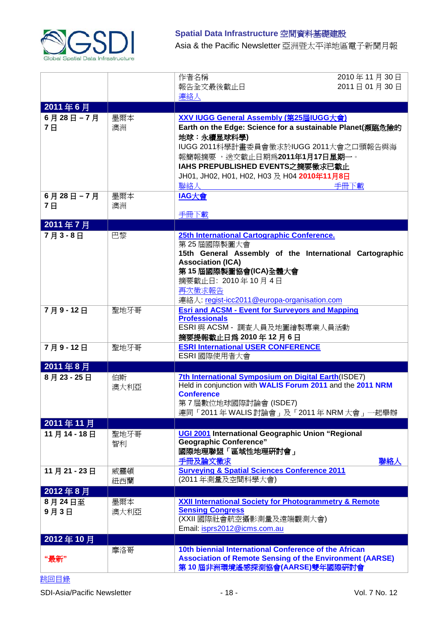

# **Spatial Data Infrastructure** 空間資料基礎建設

Asia & the Pacific Newsletter 亞洲暨太平洋地區電子新聞月報

|                        |             | 作者名稱                                                                                                                                                                                                                                                   | 2010年11月30日 |
|------------------------|-------------|--------------------------------------------------------------------------------------------------------------------------------------------------------------------------------------------------------------------------------------------------------|-------------|
|                        |             | 報告全文最後截止日<br>連絡人                                                                                                                                                                                                                                       | 2011日01月30日 |
| 2011年6月                |             |                                                                                                                                                                                                                                                        |             |
| 6月28日-7月               | 墨爾本         | XXV IUGG General Assembly (第25屆IUGG大會)                                                                                                                                                                                                                 |             |
| <b>7日</b>              | 澳洲          | Earth on the Edge: Science for a sustainable Planet(瀕臨危險的<br>地球:永續星球科學)<br>IUGG 2011科學計畫委員會徵求於IUGG 2011大會之口頭報告與海<br>報簡報摘要 ,送交截止日期為2011年1月17日星期一。<br>IAHS PREPUBLISHED EVENTS之摘要徵求已截止<br>JH01, JH02, H01, H02, H03 及 H04 2010年11月8日<br>聯絡人              | 手冊下載        |
| 6月28日-7月<br><b>7</b> E | 墨爾本<br>澳洲   | IAG大會<br>手冊下載                                                                                                                                                                                                                                          |             |
| 2011年7月                |             |                                                                                                                                                                                                                                                        |             |
| 7月3-8日                 | 巴黎          | 25th International Cartographic Conference.<br>第25屆國際製圖大會<br>15th General Assembly of the International Cartographic<br><b>Association (ICA)</b><br>第15 屆國際製圖協會(ICA)全體大會<br>摘要截止日: 2010年10月4日<br>再次徵求報告<br>連絡人: regist-icc2011@europa-organisation.com |             |
| 7月9-12日                | 聖地牙哥        | <b>Esri and ACSM - Event for Surveyors and Mapping</b><br><b>Professionals</b><br>ESRI 與 ACSM - 調査人員及地圖繪製專業人員活動<br>摘要提報截止日爲 2010年12月6日                                                                                                                 |             |
| 7月9-12日                | 聖地牙哥        | <b>ESRI International USER CONFERENCE</b><br>ESRI 國際使用者大會                                                                                                                                                                                              |             |
| 2011年8月                |             |                                                                                                                                                                                                                                                        |             |
| 8月23-25日               | 伯斯<br>澳大利亞  | 7th International Symposium on Digital Earth (ISDE7)<br>Held in conjunction with WALIS Forum 2011 and the 2011 NRM<br><b>Conference</b><br>第7屆數位地球國際討論會(ISDE7)<br>連同「2011年 WALIS 討論會」及「2011年 NRM 大會」一起舉辦                                               |             |
| 2011年11月               |             |                                                                                                                                                                                                                                                        |             |
| 11月14-18日              | 聖地牙哥<br>智利  | UGI 2001 International Geographic Union "Regional<br><b>Geographic Conference"</b><br>國際地理聯盟「區域性地理研討會」<br>手冊及論文徵求                                                                                                                                      | 聯絡人         |
| 11月21-23日              | 威靈頓<br>紐西蘭  | <b>Surveying &amp; Spatial Sciences Conference 2011</b><br>(2011年測量及空間科學大會)                                                                                                                                                                            |             |
| 2012年8月                |             |                                                                                                                                                                                                                                                        |             |
| 8月24日至<br>9月3日         | 墨爾本<br>澳大利亞 | <b>XXII International Society for Photogrammetry &amp; Remote</b><br><b>Sensing Congress</b><br>(XXII 國際社會航空攝影測量及遠端觀測大會)<br>Email: isprs2012@icms.com.au                                                                                               |             |
| 2012年10月               |             |                                                                                                                                                                                                                                                        |             |
| "最新"                   | 摩洛哥         | 10th biennial International Conference of the African<br><b>Association of Remote Sensing of the Environment (AARSE)</b><br>第10屆非洲環境遙感探測協會(AARSE)雙年國際研討會                                                                                               |             |